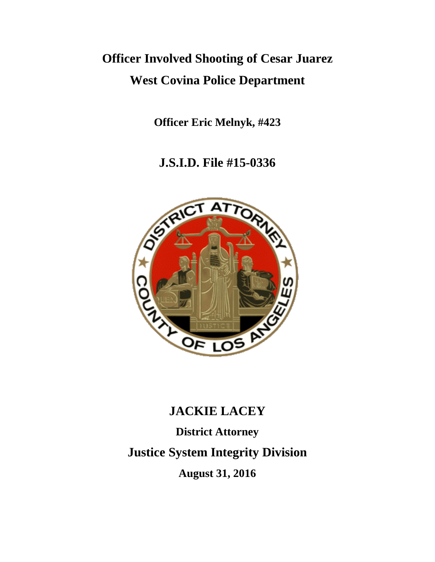# **Officer Involved Shooting of Cesar Juarez West Covina Police Department**

**Officer Eric Melnyk, #423** 

**J.S.I.D. File #15-0336**



# **JACKIE LACEY**

**District Attorney Justice System Integrity Division August 31, 2016**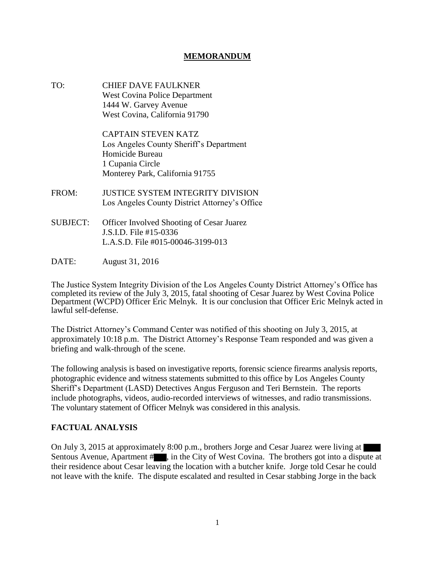#### **MEMORANDUM**

TO: CHIEF DAVE FAULKNER West Covina Police Department 1444 W. Garvey Avenue West Covina, California 91790

> CAPTAIN STEVEN KATZ Los Angeles County Sheriff's Department Homicide Bureau 1 Cupania Circle Monterey Park, California 91755

- FROM: JUSTICE SYSTEM INTEGRITY DIVISION Los Angeles County District Attorney's Office
- SUBJECT: Officer Involved Shooting of Cesar Juarez J.S.I.D. File #15-0336 L.A.S.D. File #015-00046-3199-013
- DATE: August 31, 2016

The Justice System Integrity Division of the Los Angeles County District Attorney's Office has completed its review of the July 3, 2015, fatal shooting of Cesar Juarez by West Covina Police Department (WCPD) Officer Eric Melnyk. It is our conclusion that Officer Eric Melnyk acted in lawful self-defense.

The District Attorney's Command Center was notified of this shooting on July 3, 2015, at approximately 10:18 p.m. The District Attorney's Response Team responded and was given a briefing and walk-through of the scene.

The following analysis is based on investigative reports, forensic science firearms analysis reports, photographic evidence and witness statements submitted to this office by Los Angeles County Sheriff's Department (LASD) Detectives Angus Ferguson and Teri Bernstein. The reports include photographs, videos, audio-recorded interviews of witnesses, and radio transmissions. The voluntary statement of Officer Melnyk was considered in this analysis.

#### **FACTUAL ANALYSIS**

On July 3, 2015 at approximately 8:00 p.m., brothers Jorge and Cesar Juarez were living at Sentous Avenue, Apartment #, in the City of West Covina. The brothers got into a dispute at their residence about Cesar leaving the location with a butcher knife. Jorge told Cesar he could not leave with the knife. The dispute escalated and resulted in Cesar stabbing Jorge in the back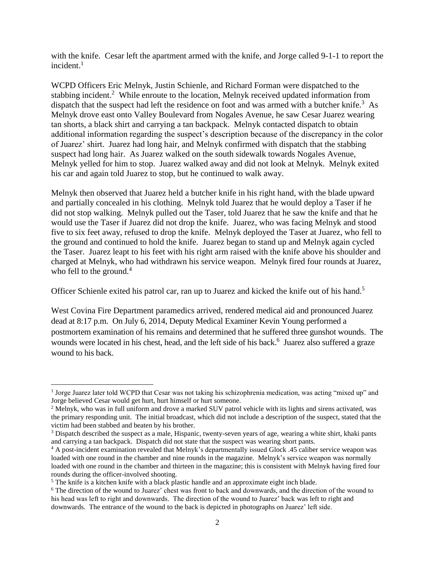with the knife. Cesar left the apartment armed with the knife, and Jorge called 9-1-1 to report the incident. $<sup>1</sup>$ </sup>

WCPD Officers Eric Melnyk, Justin Schienle, and Richard Forman were dispatched to the stabbing incident.<sup>2</sup> While enroute to the location, Melnyk received updated information from dispatch that the suspect had left the residence on foot and was armed with a butcher knife.<sup>3</sup> As Melnyk drove east onto Valley Boulevard from Nogales Avenue, he saw Cesar Juarez wearing tan shorts, a black shirt and carrying a tan backpack. Melnyk contacted dispatch to obtain additional information regarding the suspect's description because of the discrepancy in the color of Juarez' shirt. Juarez had long hair, and Melnyk confirmed with dispatch that the stabbing suspect had long hair. As Juarez walked on the south sidewalk towards Nogales Avenue, Melnyk yelled for him to stop. Juarez walked away and did not look at Melnyk. Melnyk exited his car and again told Juarez to stop, but he continued to walk away.

Melnyk then observed that Juarez held a butcher knife in his right hand, with the blade upward and partially concealed in his clothing. Melnyk told Juarez that he would deploy a Taser if he did not stop walking. Melnyk pulled out the Taser, told Juarez that he saw the knife and that he would use the Taser if Juarez did not drop the knife. Juarez, who was facing Melnyk and stood five to six feet away, refused to drop the knife. Melnyk deployed the Taser at Juarez, who fell to the ground and continued to hold the knife. Juarez began to stand up and Melnyk again cycled the Taser. Juarez leapt to his feet with his right arm raised with the knife above his shoulder and charged at Melnyk, who had withdrawn his service weapon. Melnyk fired four rounds at Juarez, who fell to the ground. $4$ 

Officer Schienle exited his patrol car, ran up to Juarez and kicked the knife out of his hand.<sup>5</sup>

West Covina Fire Department paramedics arrived, rendered medical aid and pronounced Juarez dead at 8:17 p.m. On July 6, 2014, Deputy Medical Examiner Kevin Young performed a postmortem examination of his remains and determined that he suffered three gunshot wounds. The wounds were located in his chest, head, and the left side of his back.<sup>6</sup> Juarez also suffered a graze wound to his back.

<sup>1</sup> Jorge Juarez later told WCPD that Cesar was not taking his schizophrenia medication, was acting "mixed up" and Jorge believed Cesar would get hurt, hurt himself or hurt someone.

<sup>&</sup>lt;sup>2</sup> Melnyk, who was in full uniform and drove a marked SUV patrol vehicle with its lights and sirens activated, was the primary responding unit. The initial broadcast, which did not include a description of the suspect, stated that the victim had been stabbed and beaten by his brother.

<sup>&</sup>lt;sup>3</sup> Dispatch described the suspect as a male, Hispanic, twenty-seven years of age, wearing a white shirt, khaki pants and carrying a tan backpack. Dispatch did not state that the suspect was wearing short pants.

<sup>&</sup>lt;sup>4</sup> A post-incident examination revealed that Melnyk's departmentally issued Glock .45 caliber service weapon was loaded with one round in the chamber and nine rounds in the magazine. Melnyk's service weapon was normally loaded with one round in the chamber and thirteen in the magazine; this is consistent with Melnyk having fired four rounds during the officer-involved shooting.

 $<sup>5</sup>$  The knife is a kitchen knife with a black plastic handle and an approximate eight inch blade.</sup>

<sup>&</sup>lt;sup>6</sup> The direction of the wound to Juarez' chest was front to back and downwards, and the direction of the wound to his head was left to right and downwards. The direction of the wound to Juarez' back was left to right and downwards. The entrance of the wound to the back is depicted in photographs on Juarez' left side.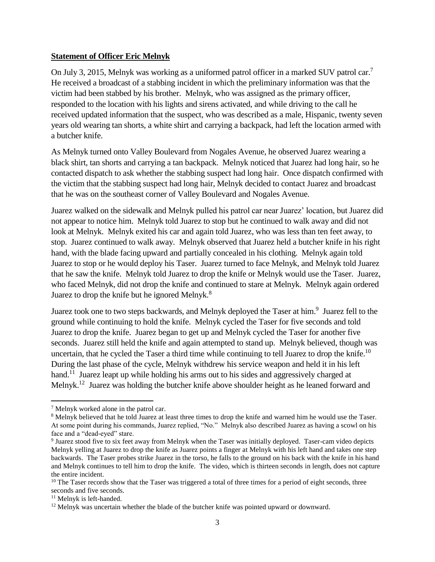### **Statement of Officer Eric Melnyk**

On July 3, 2015, Melnyk was working as a uniformed patrol officer in a marked SUV patrol car.<sup>7</sup> He received a broadcast of a stabbing incident in which the preliminary information was that the victim had been stabbed by his brother. Melnyk, who was assigned as the primary officer, responded to the location with his lights and sirens activated, and while driving to the call he received updated information that the suspect, who was described as a male, Hispanic, twenty seven years old wearing tan shorts, a white shirt and carrying a backpack, had left the location armed with a butcher knife.

As Melnyk turned onto Valley Boulevard from Nogales Avenue, he observed Juarez wearing a black shirt, tan shorts and carrying a tan backpack. Melnyk noticed that Juarez had long hair, so he contacted dispatch to ask whether the stabbing suspect had long hair. Once dispatch confirmed with the victim that the stabbing suspect had long hair, Melnyk decided to contact Juarez and broadcast that he was on the southeast corner of Valley Boulevard and Nogales Avenue.

Juarez walked on the sidewalk and Melnyk pulled his patrol car near Juarez' location, but Juarez did not appear to notice him. Melnyk told Juarez to stop but he continued to walk away and did not look at Melnyk. Melnyk exited his car and again told Juarez, who was less than ten feet away, to stop. Juarez continued to walk away. Melnyk observed that Juarez held a butcher knife in his right hand, with the blade facing upward and partially concealed in his clothing. Melnyk again told Juarez to stop or he would deploy his Taser. Juarez turned to face Melnyk, and Melnyk told Juarez that he saw the knife. Melnyk told Juarez to drop the knife or Melnyk would use the Taser. Juarez, who faced Melnyk, did not drop the knife and continued to stare at Melnyk. Melnyk again ordered Juarez to drop the knife but he ignored Melnyk.<sup>8</sup>

Juarez took one to two steps backwards, and Melnyk deployed the Taser at him.<sup>9</sup> Juarez fell to the ground while continuing to hold the knife. Melnyk cycled the Taser for five seconds and told Juarez to drop the knife. Juarez began to get up and Melnyk cycled the Taser for another five seconds. Juarez still held the knife and again attempted to stand up. Melnyk believed, though was uncertain, that he cycled the Taser a third time while continuing to tell Juarez to drop the knife.<sup>10</sup> During the last phase of the cycle, Melnyk withdrew his service weapon and held it in his left hand.<sup>11</sup> Juarez leapt up while holding his arms out to his sides and aggressively charged at Melnyk.<sup>12</sup> Juarez was holding the butcher knife above shoulder height as he leaned forward and

<sup>7</sup> Melnyk worked alone in the patrol car.

<sup>&</sup>lt;sup>8</sup> Melnyk believed that he told Juarez at least three times to drop the knife and warned him he would use the Taser. At some point during his commands, Juarez replied, "No." Melnyk also described Juarez as having a scowl on his face and a "dead-eyed" stare.

<sup>&</sup>lt;sup>9</sup> Juarez stood five to six feet away from Melnyk when the Taser was initially deployed. Taser-cam video depicts Melnyk yelling at Juarez to drop the knife as Juarez points a finger at Melnyk with his left hand and takes one step backwards. The Taser probes strike Juarez in the torso, he falls to the ground on his back with the knife in his hand and Melnyk continues to tell him to drop the knife. The video, which is thirteen seconds in length, does not capture the entire incident.

<sup>&</sup>lt;sup>10</sup> The Taser records show that the Taser was triggered a total of three times for a period of eight seconds, three seconds and five seconds.

<sup>11</sup> Melnyk is left-handed.

<sup>&</sup>lt;sup>12</sup> Melnyk was uncertain whether the blade of the butcher knife was pointed upward or downward.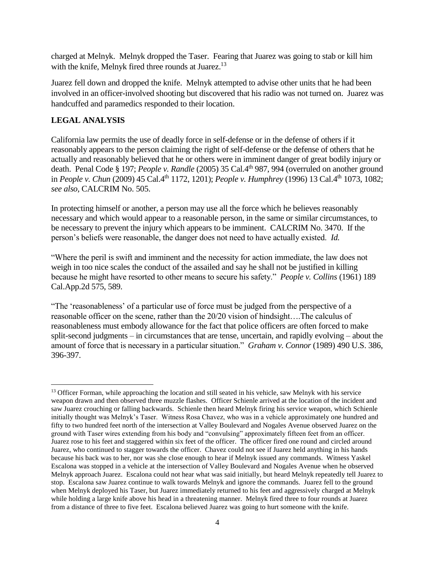charged at Melnyk. Melnyk dropped the Taser. Fearing that Juarez was going to stab or kill him with the knife, Melnyk fired three rounds at Juarez.<sup>13</sup>

Juarez fell down and dropped the knife. Melnyk attempted to advise other units that he had been involved in an officer-involved shooting but discovered that his radio was not turned on. Juarez was handcuffed and paramedics responded to their location.

# **LEGAL ANALYSIS**

California law permits the use of deadly force in self-defense or in the defense of others if it reasonably appears to the person claiming the right of self-defense or the defense of others that he actually and reasonably believed that he or others were in imminent danger of great bodily injury or death. Penal Code § 197; *People v. Randle* (2005) 35 Cal.4<sup>th</sup> 987, 994 (overruled on another ground in *People v. Chun* (2009) 45 Cal.4th 1172, 1201); *People v. Humphrey* (1996) 13 Cal.4th 1073, 1082; *see also,* CALCRIM No. 505.

In protecting himself or another, a person may use all the force which he believes reasonably necessary and which would appear to a reasonable person, in the same or similar circumstances, to be necessary to prevent the injury which appears to be imminent. CALCRIM No. 3470. If the person's beliefs were reasonable, the danger does not need to have actually existed. *Id.* 

"Where the peril is swift and imminent and the necessity for action immediate, the law does not weigh in too nice scales the conduct of the assailed and say he shall not be justified in killing because he might have resorted to other means to secure his safety." *People v. Collins* (1961) 189 Cal.App.2d 575, 589.

"The 'reasonableness' of a particular use of force must be judged from the perspective of a reasonable officer on the scene, rather than the 20/20 vision of hindsight….The calculus of reasonableness must embody allowance for the fact that police officers are often forced to make split-second judgments – in circumstances that are tense, uncertain, and rapidly evolving – about the amount of force that is necessary in a particular situation." *Graham v. Connor* (1989) 490 U.S. 386, 396-397.

<sup>&</sup>lt;sup>13</sup> Officer Forman, while approaching the location and still seated in his vehicle, saw Melnyk with his service weapon drawn and then observed three muzzle flashes. Officer Schienle arrived at the location of the incident and saw Juarez crouching or falling backwards. Schienle then heard Melnyk firing his service weapon, which Schienle initially thought was Melnyk's Taser. Witness Rosa Chavez, who was in a vehicle approximately one hundred and fifty to two hundred feet north of the intersection at Valley Boulevard and Nogales Avenue observed Juarez on the ground with Taser wires extending from his body and "convulsing" approximately fifteen feet from an officer. Juarez rose to his feet and staggered within six feet of the officer. The officer fired one round and circled around Juarez, who continued to stagger towards the officer. Chavez could not see if Juarez held anything in his hands because his back was to her, nor was she close enough to hear if Melnyk issued any commands. Witness Yaskel Escalona was stopped in a vehicle at the intersection of Valley Boulevard and Nogales Avenue when he observed Melnyk approach Juarez. Escalona could not hear what was said initially, but heard Melnyk repeatedly tell Juarez to stop. Escalona saw Juarez continue to walk towards Melnyk and ignore the commands. Juarez fell to the ground when Melnyk deployed his Taser, but Juarez immediately returned to his feet and aggressively charged at Melnyk while holding a large knife above his head in a threatening manner. Melnyk fired three to four rounds at Juarez from a distance of three to five feet. Escalona believed Juarez was going to hurt someone with the knife.